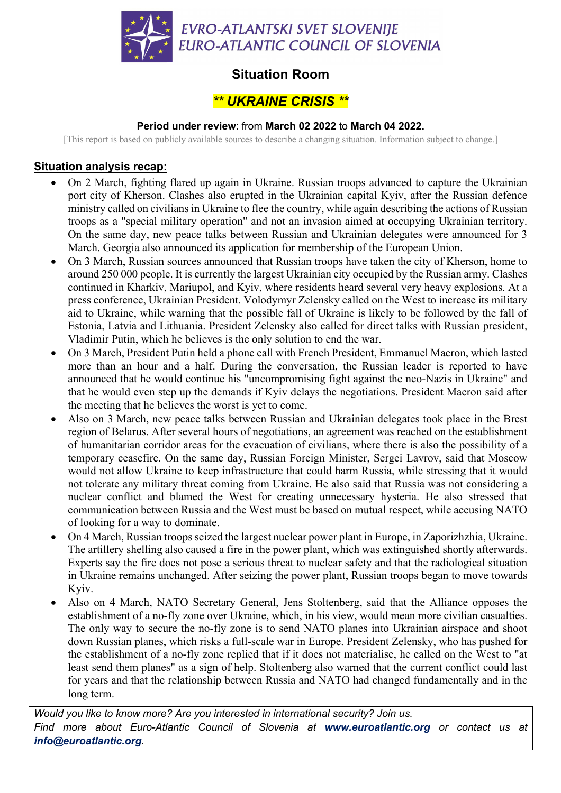

# **Situation Room**

# *\*\* UKRAINE CRISIS \*\**

#### **Period under review**: from **March 02 2022** to **March 04 2022.**

[This report is based on publicly available sources to describe a changing situation. Information subject to change.]

### **Situation analysis recap:**

- On 2 March, fighting flared up again in Ukraine. Russian troops advanced to capture the Ukrainian port city of Kherson. Clashes also erupted in the Ukrainian capital Kyiv, after the Russian defence ministry called on civilians in Ukraine to flee the country, while again describing the actions of Russian troops as a "special military operation" and not an invasion aimed at occupying Ukrainian territory. On the same day, new peace talks between Russian and Ukrainian delegates were announced for 3 March. Georgia also announced its application for membership of the European Union.
- On 3 March, Russian sources announced that Russian troops have taken the city of Kherson, home to around 250 000 people. It is currently the largest Ukrainian city occupied by the Russian army. Clashes continued in Kharkiv, Mariupol, and Kyiv, where residents heard several very heavy explosions. At a press conference, Ukrainian President. Volodymyr Zelensky called on the West to increase its military aid to Ukraine, while warning that the possible fall of Ukraine is likely to be followed by the fall of Estonia, Latvia and Lithuania. President Zelensky also called for direct talks with Russian president, Vladimir Putin, which he believes is the only solution to end the war.
- On 3 March, President Putin held a phone call with French President, Emmanuel Macron, which lasted more than an hour and a half. During the conversation, the Russian leader is reported to have announced that he would continue his "uncompromising fight against the neo-Nazis in Ukraine" and that he would even step up the demands if Kyiv delays the negotiations. President Macron said after the meeting that he believes the worst is yet to come.
- Also on 3 March, new peace talks between Russian and Ukrainian delegates took place in the Brest region of Belarus. After several hours of negotiations, an agreement was reached on the establishment of humanitarian corridor areas for the evacuation of civilians, where there is also the possibility of a temporary ceasefire. On the same day, Russian Foreign Minister, Sergei Lavrov, said that Moscow would not allow Ukraine to keep infrastructure that could harm Russia, while stressing that it would not tolerate any military threat coming from Ukraine. He also said that Russia was not considering a nuclear conflict and blamed the West for creating unnecessary hysteria. He also stressed that communication between Russia and the West must be based on mutual respect, while accusing NATO of looking for a way to dominate.
- On 4 March, Russian troops seized the largest nuclear power plant in Europe, in Zaporizhzhia, Ukraine. The artillery shelling also caused a fire in the power plant, which was extinguished shortly afterwards. Experts say the fire does not pose a serious threat to nuclear safety and that the radiological situation in Ukraine remains unchanged. After seizing the power plant, Russian troops began to move towards Kyiv.
- Also on 4 March, NATO Secretary General, Jens Stoltenberg, said that the Alliance opposes the establishment of a no-fly zone over Ukraine, which, in his view, would mean more civilian casualties. The only way to secure the no-fly zone is to send NATO planes into Ukrainian airspace and shoot down Russian planes, which risks a full-scale war in Europe. President Zelensky, who has pushed for the establishment of a no-fly zone replied that if it does not materialise, he called on the West to "at least send them planes" as a sign of help. Stoltenberg also warned that the current conflict could last for years and that the relationship between Russia and NATO had changed fundamentally and in the long term.

*Would you like to know more? Are you interested in international security? Join us. Find more about Euro-Atlantic Council of Slovenia at www.euroatlantic.org or contact us at info@euroatlantic.org.*